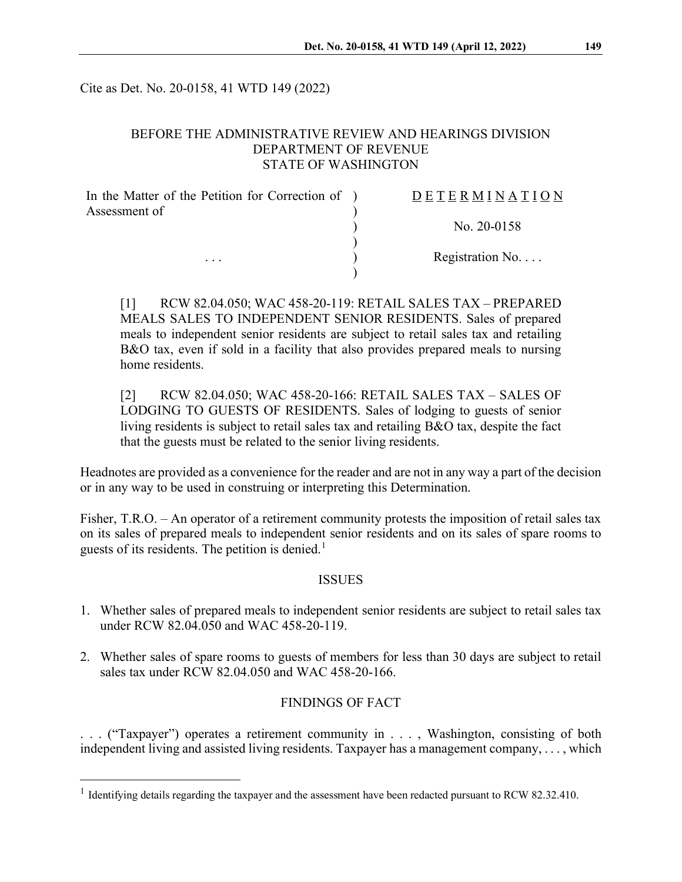Cite as Det. No. 20-0158, 41 WTD 149 (2022)

## BEFORE THE ADMINISTRATIVE REVIEW AND HEARINGS DIVISION DEPARTMENT OF REVENUE STATE OF WASHINGTON

| In the Matter of the Petition for Correction of ) | <b>DETERMINATION</b>     |
|---------------------------------------------------|--------------------------|
| Assessment of<br>$\cdots$                         |                          |
|                                                   | No. $20-0158$            |
|                                                   |                          |
|                                                   | Registration No. $\dots$ |
|                                                   |                          |

[1] RCW 82.04.050; WAC 458-20-119: RETAIL SALES TAX – PREPARED MEALS SALES TO INDEPENDENT SENIOR RESIDENTS. Sales of prepared meals to independent senior residents are subject to retail sales tax and retailing B&O tax, even if sold in a facility that also provides prepared meals to nursing home residents.

[2] RCW 82.04.050; WAC 458-20-166: RETAIL SALES TAX – SALES OF LODGING TO GUESTS OF RESIDENTS. Sales of lodging to guests of senior living residents is subject to retail sales tax and retailing B&O tax, despite the fact that the guests must be related to the senior living residents.

Headnotes are provided as a convenience for the reader and are not in any way a part of the decision or in any way to be used in construing or interpreting this Determination.

Fisher, T.R.O. – An operator of a retirement community protests the imposition of retail sales tax on its sales of prepared meals to independent senior residents and on its sales of spare rooms to guests of its residents. The petition is denied.<sup>[1](#page-0-0)</sup>

#### ISSUES

- 1. Whether sales of prepared meals to independent senior residents are subject to retail sales tax under RCW 82.04.050 and WAC 458-20-119.
- 2. Whether sales of spare rooms to guests of members for less than 30 days are subject to retail sales tax under RCW 82.04.050 and WAC 458-20-166.

#### FINDINGS OF FACT

. . . ("Taxpayer") operates a retirement community in . . . , Washington, consisting of both independent living and assisted living residents. Taxpayer has a management company, . . . , which

<span id="page-0-0"></span><sup>&</sup>lt;sup>1</sup> Identifying details regarding the taxpayer and the assessment have been redacted pursuant to RCW 82.32.410.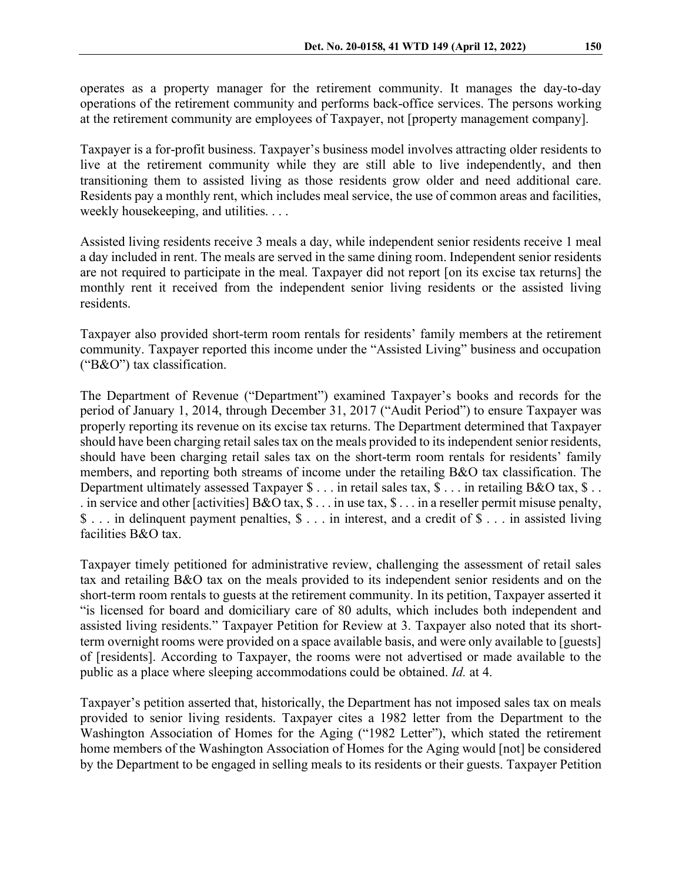operates as a property manager for the retirement community. It manages the day-to-day operations of the retirement community and performs back-office services. The persons working at the retirement community are employees of Taxpayer, not [property management company].

Taxpayer is a for-profit business. Taxpayer's business model involves attracting older residents to live at the retirement community while they are still able to live independently, and then transitioning them to assisted living as those residents grow older and need additional care. Residents pay a monthly rent, which includes meal service, the use of common areas and facilities, weekly housekeeping, and utilities. . . .

Assisted living residents receive 3 meals a day, while independent senior residents receive 1 meal a day included in rent. The meals are served in the same dining room. Independent senior residents are not required to participate in the meal. Taxpayer did not report [on its excise tax returns] the monthly rent it received from the independent senior living residents or the assisted living residents.

Taxpayer also provided short-term room rentals for residents' family members at the retirement community. Taxpayer reported this income under the "Assisted Living" business and occupation ("B&O") tax classification.

The Department of Revenue ("Department") examined Taxpayer's books and records for the period of January 1, 2014, through December 31, 2017 ("Audit Period") to ensure Taxpayer was properly reporting its revenue on its excise tax returns. The Department determined that Taxpayer should have been charging retail sales tax on the meals provided to its independent senior residents, should have been charging retail sales tax on the short-term room rentals for residents' family members, and reporting both streams of income under the retailing B&O tax classification. The Department ultimately assessed Taxpayer \$ . . . in retail sales tax, \$ . . . in retailing B&O tax, \$ . . . in service and other [activities] B&O tax, \$ . . . in use tax, \$ . . . in a reseller permit misuse penalty, \$ . . . in delinquent payment penalties, \$ . . . in interest, and a credit of \$ . . . in assisted living facilities B&O tax.

Taxpayer timely petitioned for administrative review, challenging the assessment of retail sales tax and retailing B&O tax on the meals provided to its independent senior residents and on the short-term room rentals to guests at the retirement community. In its petition, Taxpayer asserted it "is licensed for board and domiciliary care of 80 adults, which includes both independent and assisted living residents." Taxpayer Petition for Review at 3. Taxpayer also noted that its shortterm overnight rooms were provided on a space available basis, and were only available to [guests] of [residents]. According to Taxpayer, the rooms were not advertised or made available to the public as a place where sleeping accommodations could be obtained. *Id.* at 4.

Taxpayer's petition asserted that, historically, the Department has not imposed sales tax on meals provided to senior living residents. Taxpayer cites a 1982 letter from the Department to the Washington Association of Homes for the Aging ("1982 Letter"), which stated the retirement home members of the Washington Association of Homes for the Aging would [not] be considered by the Department to be engaged in selling meals to its residents or their guests. Taxpayer Petition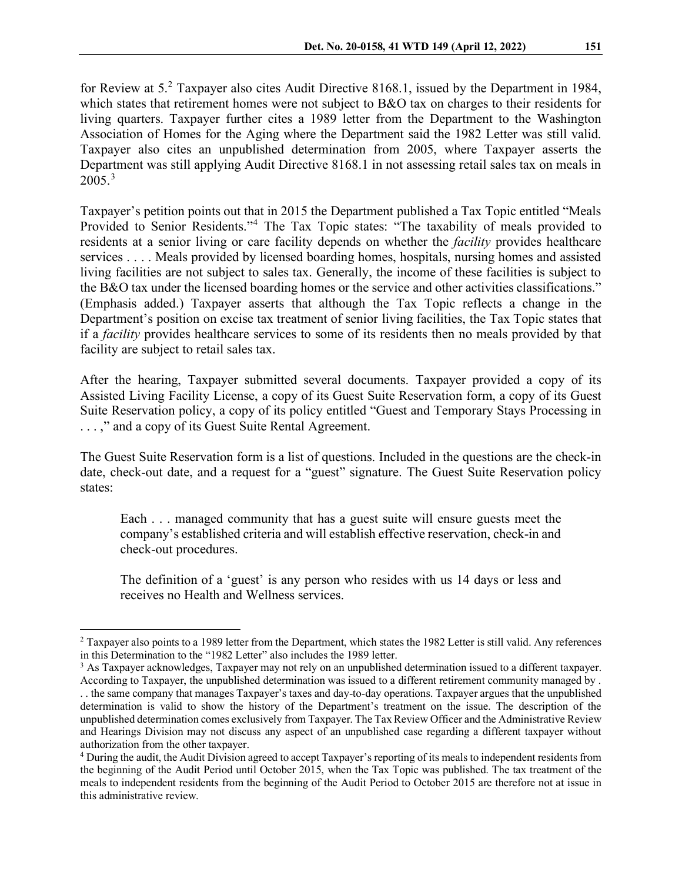for Review at 5.[2](#page-2-0) Taxpayer also cites Audit Directive 8168.1, issued by the Department in 1984, which states that retirement homes were not subject to B&O tax on charges to their residents for living quarters. Taxpayer further cites a 1989 letter from the Department to the Washington Association of Homes for the Aging where the Department said the 1982 Letter was still valid. Taxpayer also cites an unpublished determination from 2005, where Taxpayer asserts the Department was still applying Audit Directive 8168.1 in not assessing retail sales tax on meals in  $2005.<sup>3</sup>$  $2005.<sup>3</sup>$  $2005.<sup>3</sup>$ 

Taxpayer's petition points out that in 2015 the Department published a Tax Topic entitled "Meals Provided to Senior Residents."[4](#page-2-2) The Tax Topic states: "The taxability of meals provided to residents at a senior living or care facility depends on whether the *facility* provides healthcare services . . . . Meals provided by licensed boarding homes, hospitals, nursing homes and assisted living facilities are not subject to sales tax. Generally, the income of these facilities is subject to the B&O tax under the licensed boarding homes or the service and other activities classifications." (Emphasis added.) Taxpayer asserts that although the Tax Topic reflects a change in the Department's position on excise tax treatment of senior living facilities, the Tax Topic states that if a *facility* provides healthcare services to some of its residents then no meals provided by that facility are subject to retail sales tax.

After the hearing, Taxpayer submitted several documents. Taxpayer provided a copy of its Assisted Living Facility License, a copy of its Guest Suite Reservation form, a copy of its Guest Suite Reservation policy, a copy of its policy entitled "Guest and Temporary Stays Processing in . . . ," and a copy of its Guest Suite Rental Agreement.

The Guest Suite Reservation form is a list of questions. Included in the questions are the check-in date, check-out date, and a request for a "guest" signature. The Guest Suite Reservation policy states:

Each . . . managed community that has a guest suite will ensure guests meet the company's established criteria and will establish effective reservation, check-in and check-out procedures.

The definition of a 'guest' is any person who resides with us 14 days or less and receives no Health and Wellness services.

<span id="page-2-0"></span><sup>2</sup> Taxpayer also points to a 1989 letter from the Department, which states the 1982 Letter is still valid. Any references in this Determination to the "1982 Letter" also includes the 1989 letter.

<span id="page-2-1"></span><sup>&</sup>lt;sup>3</sup> As Taxpayer acknowledges, Taxpayer may not rely on an unpublished determination issued to a different taxpayer.

According to Taxpayer, the unpublished determination was issued to a different retirement community managed by . . . the same company that manages Taxpayer's taxes and day-to-day operations. Taxpayer argues that the unpublished determination is valid to show the history of the Department's treatment on the issue. The description of the unpublished determination comes exclusively from Taxpayer. The Tax Review Officer and the Administrative Review and Hearings Division may not discuss any aspect of an unpublished case regarding a different taxpayer without authorization from the other taxpayer.

<span id="page-2-2"></span><sup>4</sup> During the audit, the Audit Division agreed to accept Taxpayer's reporting of its meals to independent residents from the beginning of the Audit Period until October 2015, when the Tax Topic was published. The tax treatment of the meals to independent residents from the beginning of the Audit Period to October 2015 are therefore not at issue in this administrative review.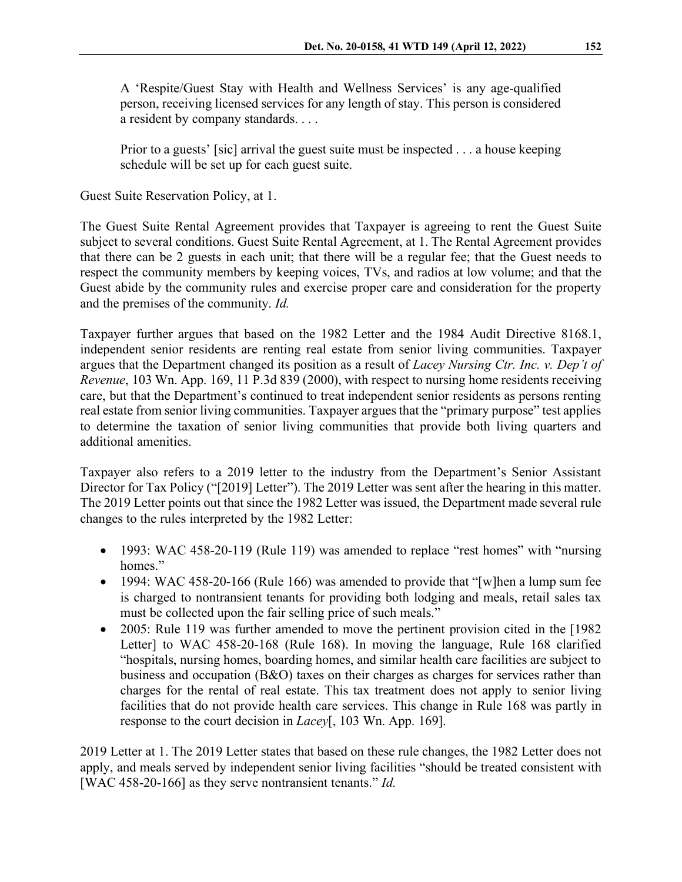A 'Respite/Guest Stay with Health and Wellness Services' is any age-qualified person, receiving licensed services for any length of stay. This person is considered a resident by company standards. . . .

Prior to a guests' [sic] arrival the guest suite must be inspected . . . a house keeping schedule will be set up for each guest suite.

Guest Suite Reservation Policy, at 1.

The Guest Suite Rental Agreement provides that Taxpayer is agreeing to rent the Guest Suite subject to several conditions. Guest Suite Rental Agreement, at 1. The Rental Agreement provides that there can be 2 guests in each unit; that there will be a regular fee; that the Guest needs to respect the community members by keeping voices, TVs, and radios at low volume; and that the Guest abide by the community rules and exercise proper care and consideration for the property and the premises of the community. *Id.*

Taxpayer further argues that based on the 1982 Letter and the 1984 Audit Directive 8168.1, independent senior residents are renting real estate from senior living communities. Taxpayer argues that the Department changed its position as a result of *Lacey Nursing Ctr. Inc. v. Dep't of Revenue*, 103 Wn. App. 169, 11 P.3d 839 (2000), with respect to nursing home residents receiving care, but that the Department's continued to treat independent senior residents as persons renting real estate from senior living communities. Taxpayer argues that the "primary purpose" test applies to determine the taxation of senior living communities that provide both living quarters and additional amenities.

Taxpayer also refers to a 2019 letter to the industry from the Department's Senior Assistant Director for Tax Policy ("[2019] Letter"). The 2019 Letter was sent after the hearing in this matter. The 2019 Letter points out that since the 1982 Letter was issued, the Department made several rule changes to the rules interpreted by the 1982 Letter:

- 1993: WAC 458-20-119 (Rule 119) was amended to replace "rest homes" with "nursing homes."
- 1994: WAC 458-20-166 (Rule 166) was amended to provide that "[w]hen a lump sum fee is charged to nontransient tenants for providing both lodging and meals, retail sales tax must be collected upon the fair selling price of such meals."
- 2005: Rule 119 was further amended to move the pertinent provision cited in the [1982] Letter] to WAC 458-20-168 (Rule 168). In moving the language, Rule 168 clarified "hospitals, nursing homes, boarding homes, and similar health care facilities are subject to business and occupation (B&O) taxes on their charges as charges for services rather than charges for the rental of real estate. This tax treatment does not apply to senior living facilities that do not provide health care services. This change in Rule 168 was partly in response to the court decision in *Lacey*[, 103 Wn. App. 169].

2019 Letter at 1. The 2019 Letter states that based on these rule changes, the 1982 Letter does not apply, and meals served by independent senior living facilities "should be treated consistent with [WAC 458-20-166] as they serve nontransient tenants." *Id.*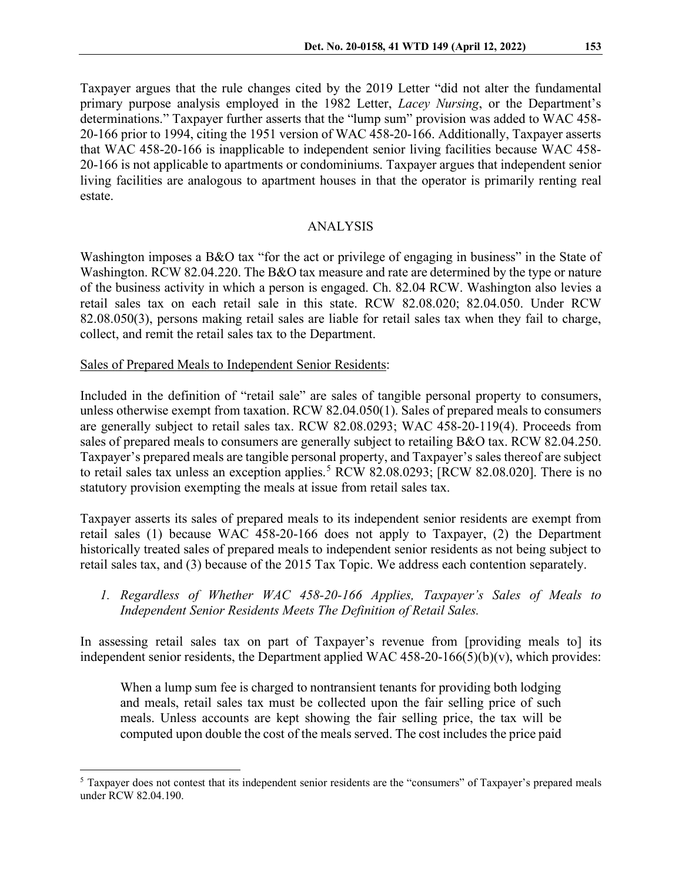Taxpayer argues that the rule changes cited by the 2019 Letter "did not alter the fundamental primary purpose analysis employed in the 1982 Letter, *Lacey Nursing*, or the Department's determinations." Taxpayer further asserts that the "lump sum" provision was added to WAC 458- 20-166 prior to 1994, citing the 1951 version of WAC 458-20-166. Additionally, Taxpayer asserts that WAC 458-20-166 is inapplicable to independent senior living facilities because WAC 458- 20-166 is not applicable to apartments or condominiums. Taxpayer argues that independent senior living facilities are analogous to apartment houses in that the operator is primarily renting real estate.

## ANALYSIS

Washington imposes a B&O tax "for the act or privilege of engaging in business" in the State of Washington. RCW 82.04.220. The B&O tax measure and rate are determined by the type or nature of the business activity in which a person is engaged. Ch. 82.04 RCW. Washington also levies a retail sales tax on each retail sale in this state. RCW 82.08.020; 82.04.050. Under RCW 82.08.050(3), persons making retail sales are liable for retail sales tax when they fail to charge, collect, and remit the retail sales tax to the Department.

Sales of Prepared Meals to Independent Senior Residents:

Included in the definition of "retail sale" are sales of tangible personal property to consumers, unless otherwise exempt from taxation. RCW 82.04.050(1). Sales of prepared meals to consumers are generally subject to retail sales tax. RCW 82.08.0293; WAC 458-20-119(4). Proceeds from sales of prepared meals to consumers are generally subject to retailing B&O tax. RCW 82.04.250. Taxpayer's prepared meals are tangible personal property, and Taxpayer's sales thereof are subject to retail sales tax unless an exception applies.<sup>[5](#page-4-0)</sup> RCW 82.08.0293; [RCW 82.08.020]. There is no statutory provision exempting the meals at issue from retail sales tax.

Taxpayer asserts its sales of prepared meals to its independent senior residents are exempt from retail sales (1) because WAC 458-20-166 does not apply to Taxpayer, (2) the Department historically treated sales of prepared meals to independent senior residents as not being subject to retail sales tax, and (3) because of the 2015 Tax Topic. We address each contention separately.

*1. Regardless of Whether WAC 458-20-166 Applies, Taxpayer's Sales of Meals to Independent Senior Residents Meets The Definition of Retail Sales.*

In assessing retail sales tax on part of Taxpayer's revenue from [providing meals to] its independent senior residents, the Department applied WAC  $458-20-166(5)(b)(v)$ , which provides:

When a lump sum fee is charged to nontransient tenants for providing both lodging and meals, retail sales tax must be collected upon the fair selling price of such meals. Unless accounts are kept showing the fair selling price, the tax will be computed upon double the cost of the meals served. The cost includes the price paid

<span id="page-4-0"></span><sup>&</sup>lt;sup>5</sup> Taxpayer does not contest that its independent senior residents are the "consumers" of Taxpayer's prepared meals under RCW 82.04.190.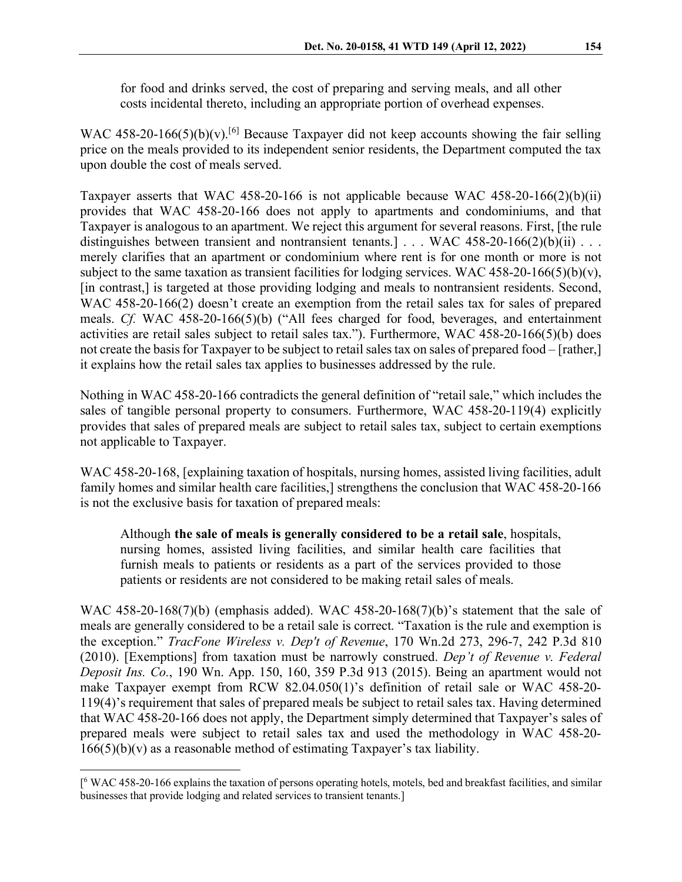for food and drinks served, the cost of preparing and serving meals, and all other costs incidental thereto, including an appropriate portion of overhead expenses.

WAC 458-20-1[6](#page-5-0)6(5)(b)(v).<sup>[6]</sup> Because Taxpayer did not keep accounts showing the fair selling price on the meals provided to its independent senior residents, the Department computed the tax upon double the cost of meals served.

Taxpayer asserts that WAC 458-20-166 is not applicable because WAC 458-20-166(2)(b)(ii) provides that WAC 458-20-166 does not apply to apartments and condominiums, and that Taxpayer is analogous to an apartment. We reject this argument for several reasons. First, [the rule distinguishes between transient and nontransient tenants.]  $\ldots$  WAC 458-20-166(2)(b)(ii)  $\ldots$ merely clarifies that an apartment or condominium where rent is for one month or more is not subject to the same taxation as transient facilities for lodging services. WAC 458-20-166(5)(b)(v), [in contrast,] is targeted at those providing lodging and meals to nontransient residents. Second, WAC 458-20-166(2) doesn't create an exemption from the retail sales tax for sales of prepared meals. *Cf.* WAC 458-20-166(5)(b) ("All fees charged for food, beverages, and entertainment activities are retail sales subject to retail sales tax."). Furthermore, WAC 458-20-166(5)(b) does not create the basis for Taxpayer to be subject to retail sales tax on sales of prepared food – [rather,] it explains how the retail sales tax applies to businesses addressed by the rule.

Nothing in WAC 458-20-166 contradicts the general definition of "retail sale," which includes the sales of tangible personal property to consumers. Furthermore, WAC 458-20-119(4) explicitly provides that sales of prepared meals are subject to retail sales tax, subject to certain exemptions not applicable to Taxpayer.

WAC 458-20-168, [explaining taxation of hospitals, nursing homes, assisted living facilities, adult family homes and similar health care facilities,] strengthens the conclusion that WAC 458-20-166 is not the exclusive basis for taxation of prepared meals:

Although **the sale of meals is generally considered to be a retail sale**, hospitals, nursing homes, assisted living facilities, and similar health care facilities that furnish meals to patients or residents as a part of the services provided to those patients or residents are not considered to be making retail sales of meals.

WAC 458-20-168(7)(b) (emphasis added). WAC 458-20-168(7)(b)'s statement that the sale of meals are generally considered to be a retail sale is correct. "Taxation is the rule and exemption is the exception." *TracFone Wireless v. Dep't of Revenue*, 170 Wn.2d 273, 296-7, 242 P.3d 810 (2010). [Exemptions] from taxation must be narrowly construed. *Dep't of Revenue v. Federal Deposit Ins. Co.*, 190 Wn. App. 150, 160, 359 P.3d 913 (2015). Being an apartment would not make Taxpayer exempt from RCW 82.04.050(1)'s definition of retail sale or WAC 458-20- 119(4)'s requirement that sales of prepared meals be subject to retail sales tax. Having determined that WAC 458-20-166 does not apply, the Department simply determined that Taxpayer's sales of prepared meals were subject to retail sales tax and used the methodology in WAC 458-20-  $166(5)(b)(v)$  as a reasonable method of estimating Taxpayer's tax liability.

<span id="page-5-0"></span><sup>[&</sup>lt;sup>6</sup> WAC 458-20-166 explains the taxation of persons operating hotels, motels, bed and breakfast facilities, and similar businesses that provide lodging and related services to transient tenants.]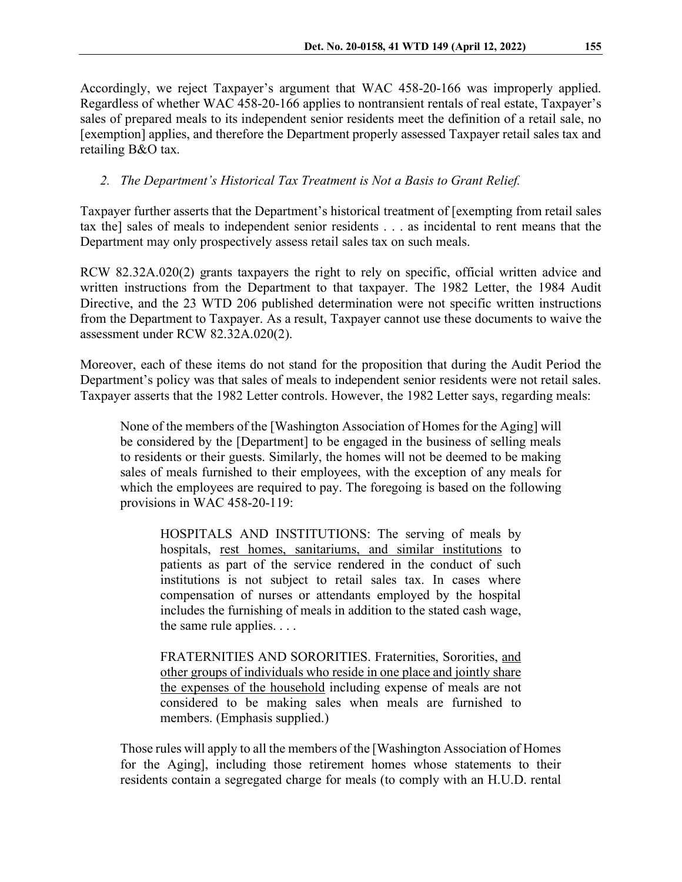Accordingly, we reject Taxpayer's argument that WAC 458-20-166 was improperly applied. Regardless of whether WAC 458-20-166 applies to nontransient rentals of real estate, Taxpayer's sales of prepared meals to its independent senior residents meet the definition of a retail sale, no [exemption] applies, and therefore the Department properly assessed Taxpayer retail sales tax and retailing B&O tax.

# *2. The Department's Historical Tax Treatment is Not a Basis to Grant Relief.*

Taxpayer further asserts that the Department's historical treatment of [exempting from retail sales tax the] sales of meals to independent senior residents . . . as incidental to rent means that the Department may only prospectively assess retail sales tax on such meals.

RCW 82.32A.020(2) grants taxpayers the right to rely on specific, official written advice and written instructions from the Department to that taxpayer. The 1982 Letter, the 1984 Audit Directive, and the 23 WTD 206 published determination were not specific written instructions from the Department to Taxpayer. As a result, Taxpayer cannot use these documents to waive the assessment under RCW 82.32A.020(2).

Moreover, each of these items do not stand for the proposition that during the Audit Period the Department's policy was that sales of meals to independent senior residents were not retail sales. Taxpayer asserts that the 1982 Letter controls. However, the 1982 Letter says, regarding meals:

None of the members of the [Washington Association of Homes for the Aging] will be considered by the [Department] to be engaged in the business of selling meals to residents or their guests. Similarly, the homes will not be deemed to be making sales of meals furnished to their employees, with the exception of any meals for which the employees are required to pay. The foregoing is based on the following provisions in WAC 458-20-119:

HOSPITALS AND INSTITUTIONS: The serving of meals by hospitals, rest homes, sanitariums, and similar institutions to patients as part of the service rendered in the conduct of such institutions is not subject to retail sales tax. In cases where compensation of nurses or attendants employed by the hospital includes the furnishing of meals in addition to the stated cash wage, the same rule applies. . . .

FRATERNITIES AND SORORITIES. Fraternities, Sororities, and other groups of individuals who reside in one place and jointly share the expenses of the household including expense of meals are not considered to be making sales when meals are furnished to members. (Emphasis supplied.)

Those rules will apply to all the members of the [Washington Association of Homes for the Aging], including those retirement homes whose statements to their residents contain a segregated charge for meals (to comply with an H.U.D. rental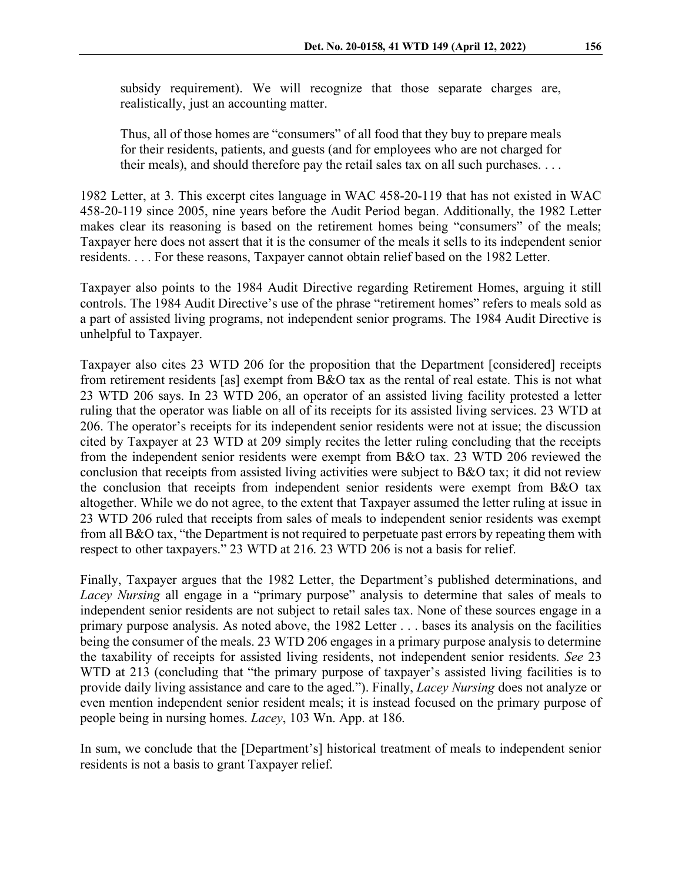subsidy requirement). We will recognize that those separate charges are, realistically, just an accounting matter.

Thus, all of those homes are "consumers" of all food that they buy to prepare meals for their residents, patients, and guests (and for employees who are not charged for their meals), and should therefore pay the retail sales tax on all such purchases. . . .

1982 Letter, at 3. This excerpt cites language in WAC 458-20-119 that has not existed in WAC 458-20-119 since 2005, nine years before the Audit Period began. Additionally, the 1982 Letter makes clear its reasoning is based on the retirement homes being "consumers" of the meals; Taxpayer here does not assert that it is the consumer of the meals it sells to its independent senior residents. . . . For these reasons, Taxpayer cannot obtain relief based on the 1982 Letter.

Taxpayer also points to the 1984 Audit Directive regarding Retirement Homes, arguing it still controls. The 1984 Audit Directive's use of the phrase "retirement homes" refers to meals sold as a part of assisted living programs, not independent senior programs. The 1984 Audit Directive is unhelpful to Taxpayer.

Taxpayer also cites 23 WTD 206 for the proposition that the Department [considered] receipts from retirement residents [as] exempt from B&O tax as the rental of real estate. This is not what 23 WTD 206 says. In 23 WTD 206, an operator of an assisted living facility protested a letter ruling that the operator was liable on all of its receipts for its assisted living services. 23 WTD at 206. The operator's receipts for its independent senior residents were not at issue; the discussion cited by Taxpayer at 23 WTD at 209 simply recites the letter ruling concluding that the receipts from the independent senior residents were exempt from B&O tax. 23 WTD 206 reviewed the conclusion that receipts from assisted living activities were subject to B&O tax; it did not review the conclusion that receipts from independent senior residents were exempt from B&O tax altogether. While we do not agree, to the extent that Taxpayer assumed the letter ruling at issue in 23 WTD 206 ruled that receipts from sales of meals to independent senior residents was exempt from all B&O tax, "the Department is not required to perpetuate past errors by repeating them with respect to other taxpayers." 23 WTD at 216. 23 WTD 206 is not a basis for relief.

Finally, Taxpayer argues that the 1982 Letter, the Department's published determinations, and *Lacey Nursing* all engage in a "primary purpose" analysis to determine that sales of meals to independent senior residents are not subject to retail sales tax. None of these sources engage in a primary purpose analysis. As noted above, the 1982 Letter . . . bases its analysis on the facilities being the consumer of the meals. 23 WTD 206 engages in a primary purpose analysis to determine the taxability of receipts for assisted living residents, not independent senior residents. *See* 23 WTD at 213 (concluding that "the primary purpose of taxpayer's assisted living facilities is to provide daily living assistance and care to the aged."). Finally, *Lacey Nursing* does not analyze or even mention independent senior resident meals; it is instead focused on the primary purpose of people being in nursing homes. *Lacey*, 103 Wn. App. at 186.

In sum, we conclude that the [Department's] historical treatment of meals to independent senior residents is not a basis to grant Taxpayer relief.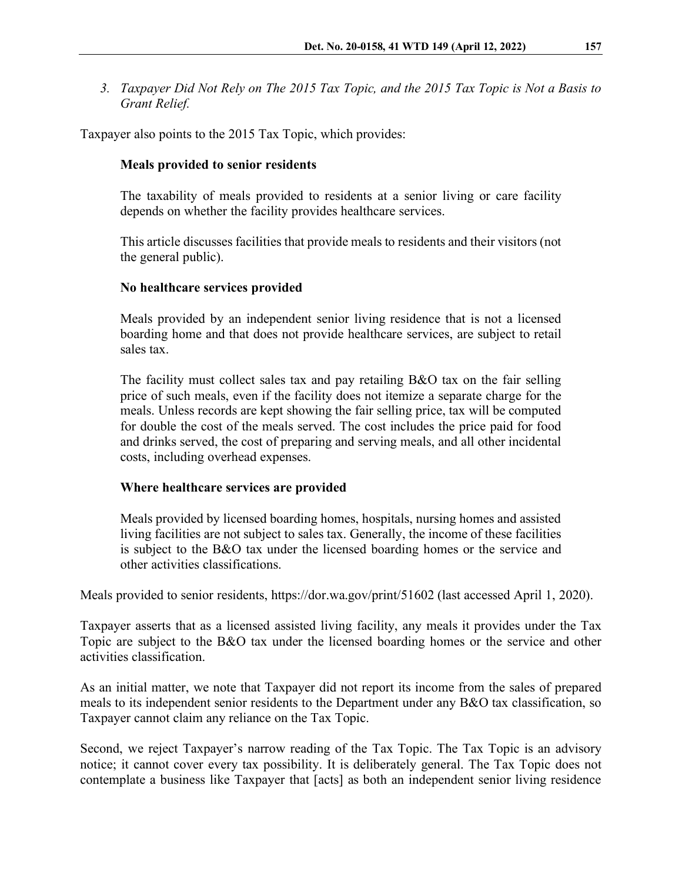*3. Taxpayer Did Not Rely on The 2015 Tax Topic, and the 2015 Tax Topic is Not a Basis to Grant Relief.*

Taxpayer also points to the 2015 Tax Topic, which provides:

#### **Meals provided to senior residents**

The taxability of meals provided to residents at a senior living or care facility depends on whether the facility provides healthcare services.

This article discusses facilities that provide meals to residents and their visitors (not the general public).

#### **No healthcare services provided**

Meals provided by an independent senior living residence that is not a licensed boarding home and that does not provide healthcare services, are subject to retail sales tax.

The facility must collect sales tax and pay retailing B&O tax on the fair selling price of such meals, even if the facility does not itemize a separate charge for the meals. Unless records are kept showing the fair selling price, tax will be computed for double the cost of the meals served. The cost includes the price paid for food and drinks served, the cost of preparing and serving meals, and all other incidental costs, including overhead expenses.

#### **Where healthcare services are provided**

Meals provided by licensed boarding homes, hospitals, nursing homes and assisted living facilities are not subject to sales tax. Generally, the income of these facilities is subject to the B&O tax under the licensed boarding homes or the service and other activities classifications.

Meals provided to senior residents,<https://dor.wa.gov/print/51602> (last accessed April 1, 2020).

Taxpayer asserts that as a licensed assisted living facility, any meals it provides under the Tax Topic are subject to the B&O tax under the licensed boarding homes or the service and other activities classification.

As an initial matter, we note that Taxpayer did not report its income from the sales of prepared meals to its independent senior residents to the Department under any B&O tax classification, so Taxpayer cannot claim any reliance on the Tax Topic.

Second, we reject Taxpayer's narrow reading of the Tax Topic. The Tax Topic is an advisory notice; it cannot cover every tax possibility. It is deliberately general. The Tax Topic does not contemplate a business like Taxpayer that [acts] as both an independent senior living residence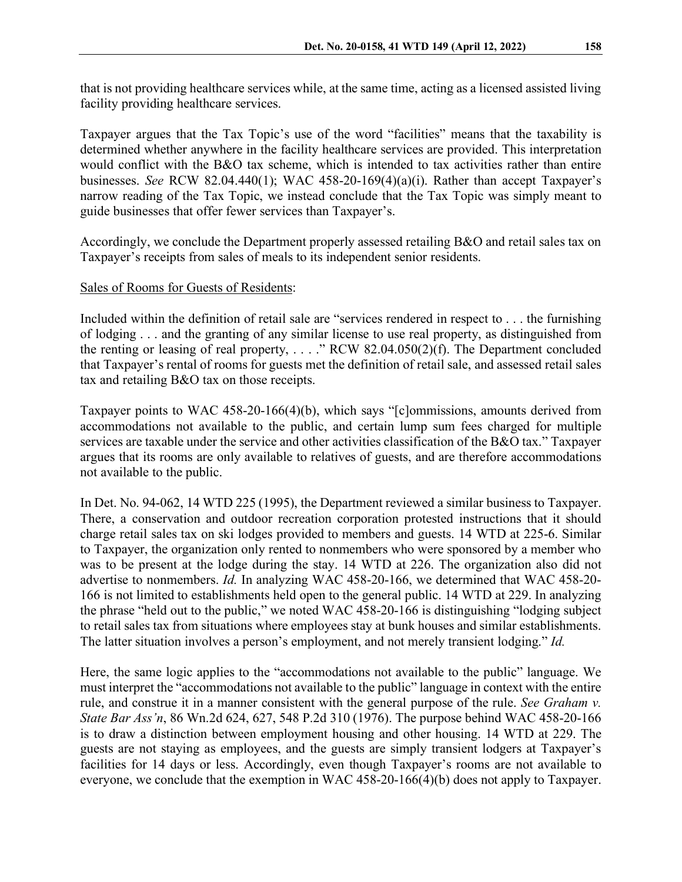that is not providing healthcare services while, at the same time, acting as a licensed assisted living facility providing healthcare services.

Taxpayer argues that the Tax Topic's use of the word "facilities" means that the taxability is determined whether anywhere in the facility healthcare services are provided. This interpretation would conflict with the B&O tax scheme, which is intended to tax activities rather than entire businesses. *See* RCW 82.04.440(1); WAC 458-20-169(4)(a)(i). Rather than accept Taxpayer's narrow reading of the Tax Topic, we instead conclude that the Tax Topic was simply meant to guide businesses that offer fewer services than Taxpayer's.

Accordingly, we conclude the Department properly assessed retailing B&O and retail sales tax on Taxpayer's receipts from sales of meals to its independent senior residents.

## Sales of Rooms for Guests of Residents:

Included within the definition of retail sale are "services rendered in respect to . . . the furnishing of lodging . . . and the granting of any similar license to use real property, as distinguished from the renting or leasing of real property, ...." RCW  $82.04.050(2)(f)$ . The Department concluded that Taxpayer's rental of rooms for guests met the definition of retail sale, and assessed retail sales tax and retailing B&O tax on those receipts.

Taxpayer points to WAC 458-20-166(4)(b), which says "[c]ommissions, amounts derived from accommodations not available to the public, and certain lump sum fees charged for multiple services are taxable under the service and other activities classification of the B&O tax." Taxpayer argues that its rooms are only available to relatives of guests, and are therefore accommodations not available to the public.

In Det. No. 94-062, 14 WTD 225 (1995), the Department reviewed a similar business to Taxpayer. There, a conservation and outdoor recreation corporation protested instructions that it should charge retail sales tax on ski lodges provided to members and guests. 14 WTD at 225-6. Similar to Taxpayer, the organization only rented to nonmembers who were sponsored by a member who was to be present at the lodge during the stay. 14 WTD at 226. The organization also did not advertise to nonmembers. *Id.* In analyzing WAC 458-20-166, we determined that WAC 458-20- 166 is not limited to establishments held open to the general public. 14 WTD at 229. In analyzing the phrase "held out to the public," we noted WAC 458-20-166 is distinguishing "lodging subject to retail sales tax from situations where employees stay at bunk houses and similar establishments. The latter situation involves a person's employment, and not merely transient lodging." *Id.*

Here, the same logic applies to the "accommodations not available to the public" language. We must interpret the "accommodations not available to the public" language in context with the entire rule, and construe it in a manner consistent with the general purpose of the rule. *See Graham v. State Bar Ass'n*, 86 Wn.2d 624, 627, 548 P.2d 310 (1976). The purpose behind WAC 458-20-166 is to draw a distinction between employment housing and other housing. 14 WTD at 229. The guests are not staying as employees, and the guests are simply transient lodgers at Taxpayer's facilities for 14 days or less. Accordingly, even though Taxpayer's rooms are not available to everyone, we conclude that the exemption in WAC 458-20-166(4)(b) does not apply to Taxpayer.